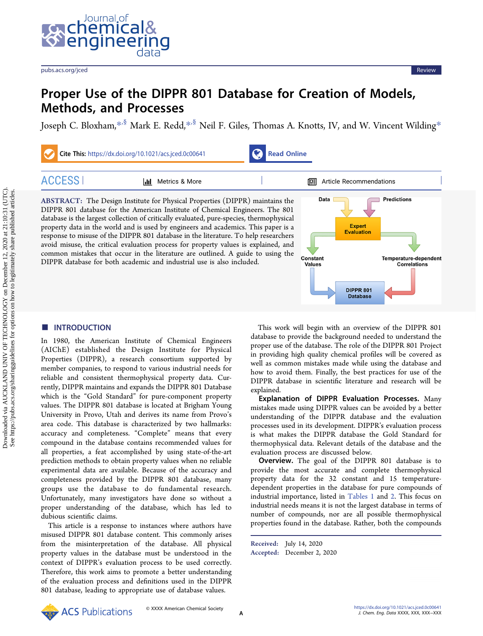

# Proper Use of the DIPPR 801 Database for Creation of Models, Methods, and Processes

[Joseph C. Bloxham,](https://pubs.acs.org/action/doSearch?field1=Contrib&text1="Joseph+C.+Bloxham"&field2=AllField&text2=&publication=&accessType=allContent&Earliest=&ref=pdf)[\\*](#page-7-0),[§](#page-7-0) [Mark E. Redd,](https://pubs.acs.org/action/doSearch?field1=Contrib&text1="Mark+E.+Redd"&field2=AllField&text2=&publication=&accessType=allContent&Earliest=&ref=pdf)\*,§ [Neil F. Giles,](https://pubs.acs.org/action/doSearch?field1=Contrib&text1="Neil+F.+Giles"&field2=AllField&text2=&publication=&accessType=allContent&Earliest=&ref=pdf) [Thomas A. Knotts, IV,](https://pubs.acs.org/action/doSearch?field1=Contrib&text1="Thomas+A.+Knotts+IV"&field2=AllField&text2=&publication=&accessType=allContent&Earliest=&ref=pdf) [and W. Vincent Wilding](https://pubs.acs.org/action/doSearch?field1=Contrib&text1="W.+Vincent+Wilding"&field2=AllField&text2=&publication=&accessType=allContent&Earliest=&ref=pdf)\*



# **■ INTRODUCTION**

In 1980, the American Institute of Chemical Engineers (AIChE) established the Design Institute for Physical Properties (DIPPR), a research consortium supported by member companies, to respond to various industrial needs for reliable and consistent thermophysical property data. Currently, DIPPR maintains and expands the DIPPR 801 Database which is the "Gold Standard" for pure-component property values. The DIPPR 801 database is located at Brigham Young University in Provo, Utah and derives its name from Provo's area code. This database is characterized by two hallmarks: accuracy and completeness. "Complete" means that every compound in the database contains recommended values for all properties, a feat accomplished by using state-of-the-art prediction methods to obtain property values when no reliable experimental data are available. Because of the accuracy and completeness provided by the DIPPR 801 database, many groups use the database to do fundamental research. Unfortunately, many investigators have done so without a proper understanding of the database, which has led to dubious scientific claims.

This article is a response to instances where authors have misused DIPPR 801 database content. This commonly arises from the misinterpretation of the database. All physical property values in the database must be understood in the context of DIPPR's evaluation process to be used correctly. Therefore, this work aims to promote a better understanding of the evaluation process and definitions used in the DIPPR 801 database, leading to appropriate use of database values.

This work will begin with an overview of the DIPPR 801 database to provide the background needed to understand the proper use of the database. The role of the DIPPR 801 Project in providing high quality chemical profiles will be covered as well as common mistakes made while using the database and how to avoid them. Finally, the best practices for use of the DIPPR database in scientific literature and research will be explained.

Explanation of DIPPR Evaluation Processes. Many mistakes made using DIPPR values can be avoided by a better understanding of the DIPPR database and the evaluation processes used in its development. DIPPR's evaluation process is what makes the DIPPR database the Gold Standard for thermophysical data. Relevant details of the database and the evaluation process are discussed below.

Overview. The goal of the DIPPR 801 database is to provide the most accurate and complete thermophysical property data for the 32 constant and 15 temperaturedependent properties in the database for pure compounds of industrial importance, listed in [Tables 1](#page-1-0) and [2](#page-1-0). This focus on industrial needs means it is not the largest database in terms of number of compounds, nor are all possible thermophysical properties found in the database. Rather, both the compounds

Received: July 14, 2020 Accepted: December 2, 2020

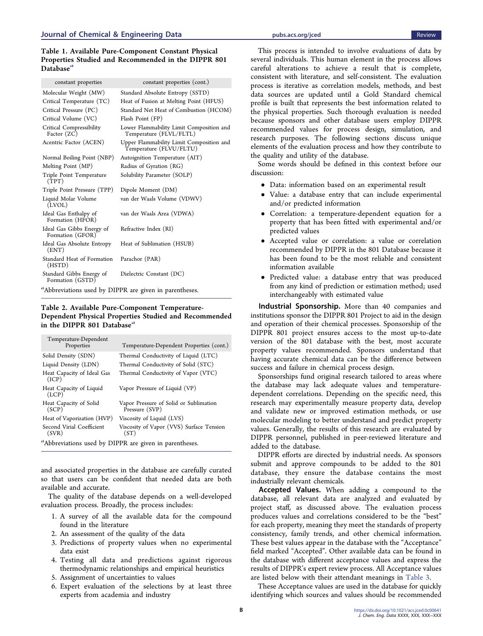## <span id="page-1-0"></span>Table 1. Available Pure-Component Constant Physical Properties Studied and Recommended in the DIPPR 801 Database<sup>a</sup>

| constant properties                           | constant properties (cont.)                                         |
|-----------------------------------------------|---------------------------------------------------------------------|
| Molecular Weight (MW)                         | Standard Absolute Entropy (SSTD)                                    |
| Critical Temperature (TC)                     | Heat of Fusion at Melting Point (HFUS)                              |
| Critical Pressure (PC)                        | Standard Net Heat of Combustion (HCOM)                              |
| Critical Volume (VC)                          | Flash Point (FP)                                                    |
| Critical Compressibility<br>Factor (ZC)       | Lower Flammability Limit Composition and<br>Temperature (FLVL/FLTL) |
| Acentric Factor (ACEN)                        | Upper Flammability Limit Composition and<br>Temperature (FLVU/FLTU) |
| Normal Boiling Point (NBP)                    | Autoignition Temperature (AIT)                                      |
| Melting Point (MP)                            | Radius of Gyration (RG)                                             |
| Triple Point Temperature<br>(TPT)             | Solubility Parameter (SOLP)                                         |
| Triple Point Pressure (TPP)                   | Dipole Moment (DM)                                                  |
| Liquid Molar Volume<br>(LVOL)                 | van der Waals Volume (VDWV)                                         |
| Ideal Gas Enthalpy of<br>Formation (HFOR)     | van der Waals Area (VDWA)                                           |
| Ideal Gas Gibbs Energy of<br>Formation (GFOR) | Refractive Index (RI)                                               |
| Ideal Gas Absolute Entropy<br>(ENT)           | Heat of Sublimation (HSUB)                                          |
| Standard Heat of Formation<br>(HSTD)          | Parachor (PAR)                                                      |
| Standard Gibbs Energy of<br>Formation (GSTD)  | Dielectric Constant (DC)                                            |
|                                               | <sup>a</sup> Abbreviations used by DIPPR are given in parentheses.  |

## Table 2. Available Pure-Component Temperature-Dependent Physical Properties Studied and Recommended in the DIPPR 801 Database $a$

| Temperature-Dependent<br>Properties | Temperature-Dependent Properties (cont.)                 |
|-------------------------------------|----------------------------------------------------------|
| Solid Density (SDN)                 | Thermal Conductivity of Liquid (LTC)                     |
| Liquid Density (LDN)                | Thermal Conductivity of Solid (STC)                      |
| Heat Capacity of Ideal Gas<br>(ICP) | Thermal Conductivity of Vapor (VTC)                      |
| Heat Capacity of Liquid<br>(LCP)    | Vapor Pressure of Liquid (VP)                            |
| Heat Capacity of Solid<br>(SCP)     | Vapor Pressure of Solid or Sublimation<br>Pressure (SVP) |
| Heat of Vaporization (HVP)          | Viscosity of Liquid (LVS)                                |
| Second Virial Coefficient<br>(SVR)  | Viscosity of Vapor (VVS) Surface Tension<br>(ST)         |
|                                     | "Abbreviations used by DIPPR are given in parentheses.   |

and associated properties in the database are carefully curated so that users can be confident that needed data are both available and accurate.

The quality of the database depends on a well-developed evaluation process. Broadly, the process includes:

- 1. A survey of all the available data for the compound found in the literature
- 2. An assessment of the quality of the data
- 3. Predictions of property values when no experimental data exist
- 4. Testing all data and predictions against rigorous thermodynamic relationships and empirical heuristics
- 5. Assignment of uncertainties to values
- 6. Expert evaluation of the selections by at least three experts from academia and industry

This process is intended to involve evaluations of data by several individuals. This human element in the process allows careful alterations to achieve a result that is complete, consistent with literature, and self-consistent. The evaluation process is iterative as correlation models, methods, and best data sources are updated until a Gold Standard chemical profile is built that represents the best information related to the physical properties. Such thorough evaluation is needed because sponsors and other database users employ DIPPR recommended values for process design, simulation, and research purposes. The following sections discuss unique elements of the evaluation process and how they contribute to the quality and utility of the database.

Some words should be defined in this context before our discussion:

- Data: information based on an experimental result
- Value: a database entry that can include experimental and/or predicted information
- Correlation: a temperature-dependent equation for a property that has been fitted with experimental and/or predicted values
- Accepted value or correlation: a value or correlation recommended by DIPPR in the 801 Database because it has been found to be the most reliable and consistent information available
- Predicted value: a database entry that was produced from any kind of prediction or estimation method; used interchangeably with estimated value

Industrial Sponsorship. More than 40 companies and institutions sponsor the DIPPR 801 Project to aid in the design and operation of their chemical processes. Sponsorship of the DIPPR 801 project ensures access to the most up-to-date version of the 801 database with the best, most accurate property values recommended. Sponsors understand that having accurate chemical data can be the difference between success and failure in chemical process design.

Sponsorships fund original research tailored to areas where the database may lack adequate values and temperaturedependent correlations. Depending on the specific need, this research may experimentally measure property data, develop and validate new or improved estimation methods, or use molecular modeling to better understand and predict property values. Generally, the results of this research are evaluated by DIPPR personnel, published in peer-reviewed literature and added to the database.

DIPPR efforts are directed by industrial needs. As sponsors submit and approve compounds to be added to the 801 database, they ensure the database contains the most industrially relevant chemicals.

Accepted Values. When adding a compound to the database, all relevant data are analyzed and evaluated by project staff, as discussed above. The evaluation process produces values and correlations considered to be the "best" for each property, meaning they meet the standards of property consistency, family trends, and other chemical information. These best values appear in the database with the "Acceptance" field marked "Accepted". Other available data can be found in the database with different acceptance values and express the results of DIPPR's expert review process. All Acceptance values are listed below with their attendant meanings in [Table 3](#page-2-0).

These Acceptance values are used in the database for quickly identifying which sources and values should be recommended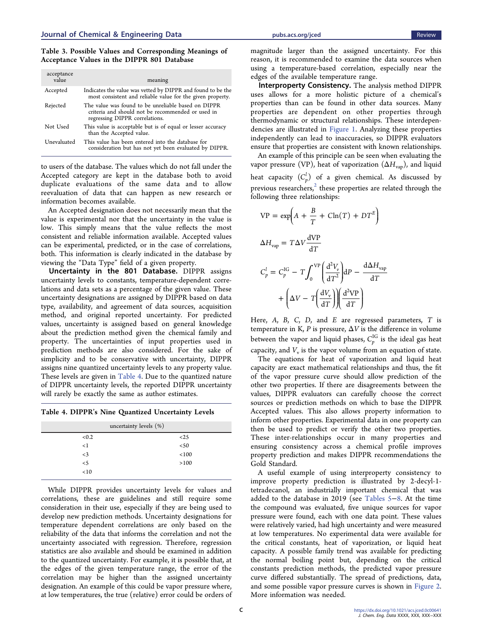<span id="page-2-0"></span>Table 3. Possible Values and Corresponding Meanings of Acceptance Values in the DIPPR 801 Database

| acceptance<br>value | meaning                                                                                                                                    |
|---------------------|--------------------------------------------------------------------------------------------------------------------------------------------|
| Accepted            | Indicates the value was vetted by DIPPR and found to be the<br>most consistent and reliable value for the given property.                  |
| Rejected            | The value was found to be unreliable based on DIPPR<br>criteria and should not be recommended or used in<br>regressing DIPPR correlations. |
| Not Used            | This value is acceptable but is of equal or lesser accuracy<br>than the Accepted value.                                                    |
| Unevaluated         | This value has been entered into the database for<br>consideration but has not yet been evaluated by DIPPR.                                |

to users of the database. The values which do not fall under the Accepted category are kept in the database both to avoid duplicate evaluations of the same data and to allow reevaluation of data that can happen as new research or information becomes available.

An Accepted designation does not necessarily mean that the value is experimental nor that the uncertainty in the value is low. This simply means that the value reflects the most consistent and reliable information available. Accepted values can be experimental, predicted, or in the case of correlations, both. This information is clearly indicated in the database by viewing the "Data Type" field of a given property.

Uncertainty in the 801 Database. DIPPR assigns uncertainty levels to constants, temperature-dependent correlations and data sets as a percentage of the given value. These uncertainty designations are assigned by DIPPR based on data type, availability, and agreement of data sources, acquisition method, and original reported uncertainty. For predicted values, uncertainty is assigned based on general knowledge about the prediction method given the chemical family and property. The uncertainties of input properties used in prediction methods are also considered. For the sake of simplicity and to be conservative with uncertainty, DIPPR assigns nine quantized uncertainty levels to any property value. These levels are given in Table 4. Due to the quantized nature of DIPPR uncertainty levels, the reported DIPPR uncertainty will rarely be exactly the same as author estimates.

Table 4. DIPPR's Nine Quantized Uncertainty Levels

| uncertainty levels (%) |       |
|------------------------|-------|
| < 0.2                  | <25   |
| $\leq 1$               | < 50  |
| $<$ 3                  | < 100 |
| $<$ 5                  | >100  |
| <10                    |       |

While DIPPR provides uncertainty levels for values and correlations, these are guidelines and still require some consideration in their use, especially if they are being used to develop new prediction methods. Uncertainty designations for temperature dependent correlations are only based on the reliability of the data that informs the correlation and not the uncertainty associated with regression. Therefore, regression statistics are also available and should be examined in addition to the quantized uncertainty. For example, it is possible that, at the edges of the given temperature range, the error of the correlation may be higher than the assigned uncertainty designation. An example of this could be vapor pressure where, at low temperatures, the true (relative) error could be orders of magnitude larger than the assigned uncertainty. For this reason, it is recommended to examine the data sources when using a temperature-based correlation, especially near the edges of the available temperature range.

Interproperty Consistency. The analysis method DIPPR uses allows for a more holistic picture of a chemical's properties than can be found in other data sources. Many properties are dependent on other properties through thermodynamic or structural relationships. These interdependencies are illustrated in [Figure 1](#page-3-0). Analyzing these properties independently can lead to inaccuracies, so DIPPR evaluators ensure that properties are consistent with known relationships.

An example of this principle can be seen when evaluating the vapor pressure (VP), heat of vaporization  $(\Delta H_{\text{van}})$ , and liquid

heat capacity  $(C_p^l)$  of a given chemical. As discussed by previous researchers, $2$  these properties are related through the following three relationships:

$$
VP = \exp\left(A + \frac{B}{T} + \text{Cln}(T) + DT^{E}\right)
$$
  
\n
$$
\Delta H_{\text{vap}} = T\Delta V \frac{\text{dVP}}{\text{d}T}
$$
  
\n
$$
C_{p}^{l} = C_{p}^{\text{IG}} - T \int_{0}^{\text{VP}} \left(\frac{\text{d}^{2}V_{v}}{\text{d}T^{2}}\right) \text{d}P - \frac{\text{d}\Delta H_{\text{vap}}}{\text{d}T}
$$
  
\n
$$
+ \left(\Delta V - T\left(\frac{\text{d}V_{v}}{\text{d}T}\right)\right) \left(\frac{\text{d}^{2}VP}{\text{d}T}\right)
$$

Here,  $A$ ,  $B$ ,  $C$ ,  $D$ , and  $E$  are regressed parameters,  $T$  is temperature in K, P is pressure,  $\Delta V$  is the difference in volume between the vapor and liquid phases,  $C_p^{\rm IG}$  is the ideal gas heat capacity, and  $V_{\rm v}$  is the vapor volume from an equation of state.

The equations for heat of vaporization and liquid heat capacity are exact mathematical relationships and thus, the fit of the vapor pressure curve should allow prediction of the other two properties. If there are disagreements between the values, DIPPR evaluators can carefully choose the correct sources or prediction methods on which to base the DIPPR Accepted values. This also allows property information to inform other properties. Experimental data in one property can then be used to predict or verify the other two properties. These inter-relationships occur in many properties and ensuring consistency across a chemical profile improves property prediction and makes DIPPR recommendations the Gold Standard.

A useful example of using interproperty consistency to improve property prediction is illustrated by 2-decyl-1 tetradecanol, an industrially important chemical that was added to the database in 2019 (see [Tables 5](#page-3-0)−[8](#page-4-0). At the time the compound was evaluated, five unique sources for vapor pressure were found, each with one data point. These values were relatively varied, had high uncertainty and were measured at low temperatures. No experimental data were available for the critical constants, heat of vaporization, or liquid heat capacity. A possible family trend was available for predicting the normal boiling point but, depending on the critical constants prediction methods, the predicted vapor pressure curve differed substantially. The spread of predictions, data, and some possible vapor pressure curves is shown in [Figure 2](#page-5-0). More information was needed.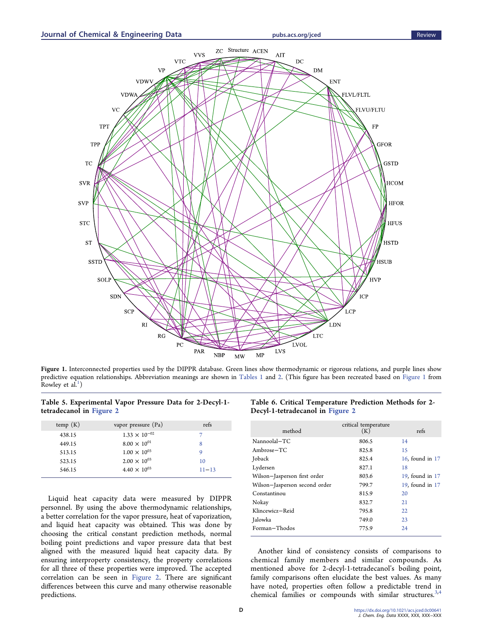<span id="page-3-0"></span>



Figure 1. Interconnected properties used by the DIPPR database. Green lines show thermodynamic or rigorous relations, and purple lines show predictive equation relationships. Abbreviation meanings are shown in [Tables 1](#page-1-0) and [2](#page-1-0). (This figure has been recreated based on Figure 1 from Rowley et al.<sup>[1](#page-7-0)</sup>)

## Table 5. Experimental Vapor Pressure Data for 2-Decyl-1 tetradecanol in [Figure 2](#page-5-0)

| temp(K) | vapor pressure (Pa)    | refs      |
|---------|------------------------|-----------|
| 438.15  | $1.33 \times 10^{-02}$ |           |
| 449.15  | $8.00 \times 10^{01}$  |           |
| 513.15  | $1.00 \times 10^{03}$  |           |
| 523.15  | $2.00 \times 10^{03}$  | 10        |
| 546.15  | $4.40 \times 10^{03}$  | $11 - 13$ |
|         |                        |           |

Liquid heat capacity data were measured by DIPPR personnel. By using the above thermodynamic relationships, a better correlation for the vapor pressure, heat of vaporization, and liquid heat capacity was obtained. This was done by choosing the critical constant prediction methods, normal boiling point predictions and vapor pressure data that best aligned with the measured liquid heat capacity data. By ensuring interproperty consistency, the property correlations for all three of these properties were improved. The accepted correlation can be seen in [Figure 2](#page-5-0). There are significant differences between this curve and many otherwise reasonable predictions.

# Table 6. Critical Temperature Prediction Methods for 2- Decyl-1-tetradecanol in [Figure 2](#page-5-0)

| method                        | critical temperature<br>(K) | refs              |
|-------------------------------|-----------------------------|-------------------|
| Nannoolal-TC                  | 806.5                       | 14                |
| $Ambrose-TC$                  | 825.8                       | 15                |
| Joback                        | 825.4                       | 16, found in $17$ |
| Lydersen                      | 827.1                       | 18                |
| Wilson-Jasperson first order  | 803.6                       | 19, found in $17$ |
| Wilson-Jasperson second order | 799.7                       | 19, found in $17$ |
| Constantinou                  | 815.9                       | 20                |
| Nokay                         | 832.7                       | 21                |
| Klincewicz-Reid               | 795.8                       | 22                |
| Jalowka                       | 749.0                       | 23                |
| Forman-Thodos                 | 775.9                       | 24                |

Another kind of consistency consists of comparisons to chemical family members and similar compounds. As mentioned above for 2-decyl-1-tetradecanol's boiling point, family comparisons often elucidate the best values. As many have noted, properties often follow a predictable trend in chemical families or compounds with similar structures. $3,4$  $3,4$  $3,4$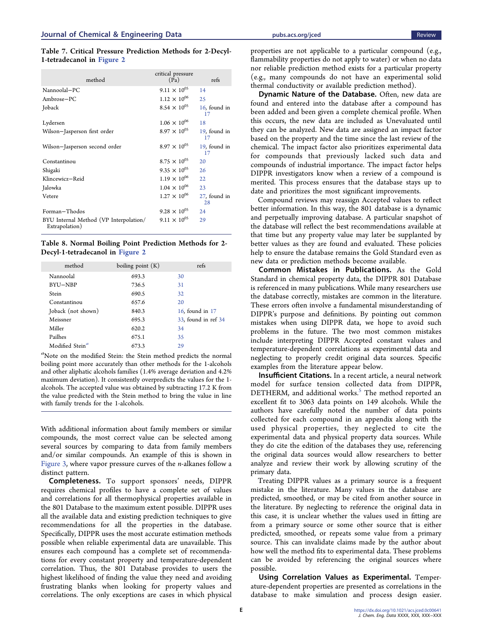## <span id="page-4-0"></span>Table 7. Critical Pressure Prediction Methods for 2-Decyl-1-tetradecanol in [Figure 2](#page-5-0)

| method                                                   | critical pressure<br>(Pa) | refs               |
|----------------------------------------------------------|---------------------------|--------------------|
| Nannoolal-PC                                             | $9.11 \times 10^{05}$     | 14                 |
| Ambrose-PC                                               | $1.12 \times 10^{06}$     | 25                 |
| Joback                                                   | $8.54 \times 10^{05}$     | 16, found in<br>17 |
| Lydersen                                                 | $1.06 \times 10^{06}$     | 18                 |
| Wilson-Jasperson first order                             | $8.97 \times 10^{05}$     | 19, found in<br>17 |
| Wilson-Jasperson second order                            | $8.97 \times 10^{05}$     | 19, found in<br>17 |
| Constantinou                                             | $8.75 \times 10^{05}$     | 20                 |
| Shigaki                                                  | $9.35 \times 10^{05}$     | 26                 |
| Klincewicz-Reid                                          | $1.19 \times 10^{06}$     | 22                 |
| Jalowka                                                  | $1.04 \times 10^{06}$     | 23                 |
| Vetere                                                   | $1.27 \times 10^{06}$     | 27, found in<br>28 |
| Forman-Thodos                                            | $9.28 \times 10^{05}$     | 24                 |
| BYU Internal Method (VP Interpolation/<br>Extrapolation) | $9.11 \times 10^{05}$     | 29                 |

Table 8. Normal Boiling Point Prediction Methods for 2- Decyl-1-tetradecanol in [Figure 2](#page-5-0)

| method                      | boiling point $(K)$ | refs                |
|-----------------------------|---------------------|---------------------|
| Nannoolal                   | 693.3               | 30                  |
| <b>BYU-NBP</b>              | 736.5               | 31                  |
| Stein                       | 690.5               | 32                  |
| Constantinou                | 657.6               | 20                  |
| Joback (not shown)          | 840.3               | 16, found in 17     |
| Meissner                    | 695.3               | 33, found in ref 34 |
| Miller                      | 620.2               | 34                  |
| Pailhes                     | 675.1               | 35                  |
| Modified Stein <sup>a</sup> | 673.3               | 29                  |

a Note on the modified Stein: the Stein method predicts the normal boiling point more accurately than other methods for the 1-alcohols and other aliphatic alcohols families (1.4% average deviation and 4.2% maximum deviation). It consistently overpredicts the values for the 1 alcohols. The accepted value was obtained by subtracting 17.2 K from the value predicted with the Stein method to bring the value in line with family trends for the 1-alcohols.

With additional information about family members or similar compounds, the most correct value can be selected among several sources by comparing to data from family members and/or similar compounds. An example of this is shown in [Figure 3](#page-5-0), where vapor pressure curves of the n-alkanes follow a distinct pattern.

Completeness. To support sponsors' needs, DIPPR requires chemical profiles to have a complete set of values and correlations for all thermophysical properties available in the 801 Database to the maximum extent possible. DIPPR uses all the available data and existing prediction techniques to give recommendations for all the properties in the database. Specifically, DIPPR uses the most accurate estimation methods possible when reliable experimental data are unavailable. This ensures each compound has a complete set of recommendations for every constant property and temperature-dependent correlation. Thus, the 801 Database provides to users the highest likelihood of finding the value they need and avoiding frustrating blanks when looking for property values and correlations. The only exceptions are cases in which physical

properties are not applicable to a particular compound (e.g., flammability properties do not apply to water) or when no data nor reliable prediction method exists for a particular property (e.g., many compounds do not have an experimental solid thermal conductivity or available prediction method).

Dynamic Nature of the Database. Often, new data are found and entered into the database after a compound has been added and been given a complete chemical profile. When this occurs, the new data are included as Unevaluated until they can be analyzed. New data are assigned an impact factor based on the property and the time since the last review of the chemical. The impact factor also prioritizes experimental data for compounds that previously lacked such data and compounds of industrial importance. The impact factor helps DIPPR investigators know when a review of a compound is merited. This process ensures that the database stays up to date and prioritizes the most significant improvements.

Compound reviews may reassign Accepted values to reflect better information. In this way, the 801 database is a dynamic and perpetually improving database. A particular snapshot of the database will reflect the best recommendations available at that time but any property value may later be supplanted by better values as they are found and evaluated. These policies help to ensure the database remains the Gold Standard even as new data or prediction methods become available.

Common Mistakes in Publications. As the Gold Standard in chemical property data, the DIPPR 801 Database is referenced in many publications. While many researchers use the database correctly, mistakes are common in the literature. These errors often involve a fundamental misunderstanding of DIPPR's purpose and definitions. By pointing out common mistakes when using DIPPR data, we hope to avoid such problems in the future. The two most common mistakes include interpreting DIPPR Accepted constant values and temperature-dependent correlations as experimental data and neglecting to properly credit original data sources. Specific examples from the literature appear below.

Insufficient Citations. In a recent article, a neural network model for surface tension collected data from DIPPR, DETHERM, and additional works.<sup>[5](#page-7-0)</sup> The method reported an excellent fit to 3063 data points on 149 alcohols. While the authors have carefully noted the number of data points collected for each compound in an appendix along with the used physical properties, they neglected to cite the experimental data and physical property data sources. While they do cite the edition of the databases they use, referencing the original data sources would allow researchers to better analyze and review their work by allowing scrutiny of the primary data.

Treating DIPPR values as a primary source is a frequent mistake in the literature. Many values in the database are predicted, smoothed, or may be cited from another source in the literature. By neglecting to reference the original data in this case, it is unclear whether the values used in fitting are from a primary source or some other source that is either predicted, smoothed, or repeats some value from a primary source. This can invalidate claims made by the author about how well the method fits to experimental data. These problems can be avoided by referencing the original sources where possible.

Using Correlation Values as Experimental. Temperature-dependent properties are presented as correlations in the database to make simulation and process design easier.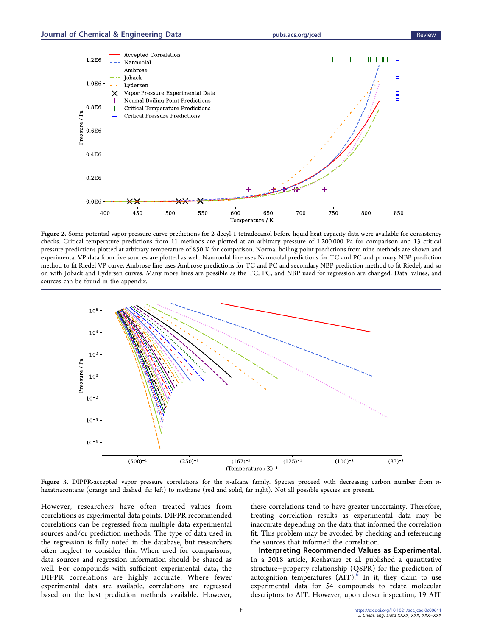<span id="page-5-0"></span>

Figure 2. Some potential vapor pressure curve predictions for 2-decyl-1-tetradecanol before liquid heat capacity data were available for consistency checks. Critical temperature predictions from 11 methods are plotted at an arbitrary pressure of 1 200 000 Pa for comparison and 13 critical pressure predictions plotted at arbitrary temperature of 850 K for comparison. Normal boiling point predictions from nine methods are shown and experimental VP data from five sources are plotted as well. Nannoolal line uses Nannoolal predictions for TC and PC and primary NBP prediction method to fit Riedel VP curve, Ambrose line uses Ambrose predictions for TC and PC and secondary NBP prediction method to fit Riedel, and so on with Joback and Lydersen curves. Many more lines are possible as the TC, PC, and NBP used for regression are changed. Data, values, and sources can be found in the appendix.



Figure 3. DIPPR-accepted vapor pressure correlations for the n-alkane family. Species proceed with decreasing carbon number from nhexatriacontane (orange and dashed, far left) to methane (red and solid, far right). Not all possible species are present.

However, researchers have often treated values from correlations as experimental data points. DIPPR recommended correlations can be regressed from multiple data experimental sources and/or prediction methods. The type of data used in the regression is fully noted in the database, but researchers often neglect to consider this. When used for comparisons, data sources and regression information should be shared as well. For compounds with sufficient experimental data, the DIPPR correlations are highly accurate. Where fewer experimental data are available, correlations are regressed based on the best prediction methods available. However,

these correlations tend to have greater uncertainty. Therefore, treating correlation results as experimental data may be inaccurate depending on the data that informed the correlation fit. This problem may be avoided by checking and referencing the sources that informed the correlation.

Interpreting Recommended Values as Experimental. In a 2018 article, Keshavarz et al. published a quantitative structure−property relationship (QSPR) for the prediction of autoignition temperatures  $(AIT)$ . In it, they claim to use experimental data for 54 compounds to relate molecular descriptors to AIT. However, upon closer inspection, 19 AIT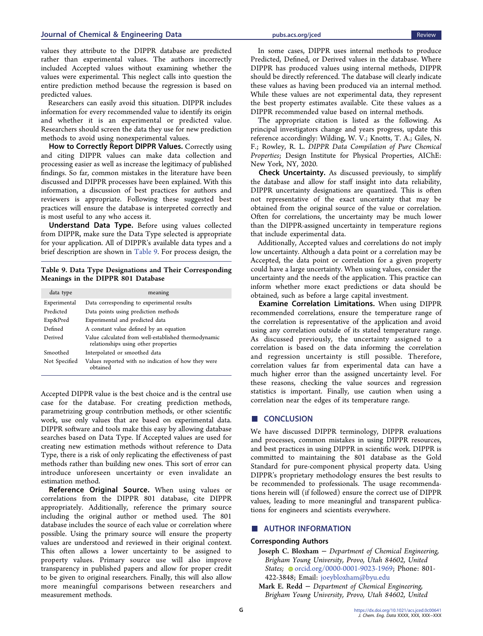## <span id="page-6-0"></span>Journal of Chemical & Engineering Data **[pubs.acs.org/jced](pubs.acs.org/jced?ref=pdf)** and pubs.acs.org/jced Review

values they attribute to the DIPPR database are predicted rather than experimental values. The authors incorrectly included Accepted values without examining whether the values were experimental. This neglect calls into question the entire prediction method because the regression is based on predicted values.

Researchers can easily avoid this situation. DIPPR includes information for every recommended value to identify its origin and whether it is an experimental or predicted value. Researchers should screen the data they use for new prediction methods to avoid using nonexperimental values.

How to Correctly Report DIPPR Values. Correctly using and citing DIPPR values can make data collection and processing easier as well as increase the legitimacy of published findings. So far, common mistakes in the literature have been discussed and DIPPR processes have been explained. With this information, a discussion of best practices for authors and reviewers is appropriate. Following these suggested best practices will ensure the database is interpreted correctly and is most useful to any who access it.

Understand Data Type. Before using values collected from DIPPR, make sure the Data Type selected is appropriate for your application. All of DIPPR's available data types and a brief description are shown in Table 9. For process design, the

Table 9. Data Type Designations and Their Corresponding Meanings in the DIPPR 801 Database

| data type     | meaning                                                                                      |
|---------------|----------------------------------------------------------------------------------------------|
| Experimental  | Data corresponding to experimental results                                                   |
| Predicted     | Data points using prediction methods                                                         |
| Exp&Pred      | Experimental and predicted data                                                              |
| Defined       | A constant value defined by an equation                                                      |
| Derived       | Value calculated from well-established thermodynamic<br>relationships using other properties |
| Smoothed      | Interpolated or smoothed data                                                                |
| Not Specified | Values reported with no indication of how they were<br>obtained                              |

Accepted DIPPR value is the best choice and is the central use case for the database. For creating prediction methods, parametrizing group contribution methods, or other scientific work, use only values that are based on experimental data. DIPPR software and tools make this easy by allowing database searches based on Data Type. If Accepted values are used for creating new estimation methods without reference to Data Type, there is a risk of only replicating the effectiveness of past methods rather than building new ones. This sort of error can introduce unforeseen uncertainty or even invalidate an estimation method.

Reference Original Source. When using values or correlations from the DIPPR 801 database, cite DIPPR appropriately. Additionally, reference the primary source including the original author or method used. The 801 database includes the source of each value or correlation where possible. Using the primary source will ensure the property values are understood and reviewed in their original context. This often allows a lower uncertainty to be assigned to property values. Primary source use will also improve transparency in published papers and allow for proper credit to be given to original researchers. Finally, this will also allow more meaningful comparisons between researchers and measurement methods.

In some cases, DIPPR uses internal methods to produce Predicted, Defined, or Derived values in the database. Where DIPPR has produced values using internal methods, DIPPR should be directly referenced. The database will clearly indicate these values as having been produced via an internal method. While these values are not experimental data, they represent the best property estimates available. Cite these values as a DIPPR recommended value based on internal methods.

The appropriate citation is listed as the following. As principal investigators change and years progress, update this reference accordingly: Wilding, W. V.; Knotts, T. A.; Giles, N. F.; Rowley, R. L. DIPPR Data Compilation of Pure Chemical Properties; Design Institute for Physical Properties, AIChE: New York, NY, 2020.

Check Uncertainty. As discussed previously, to simplify the database and allow for staff insight into data reliability, DIPPR uncertainty designations are quantized. This is often not representative of the exact uncertainty that may be obtained from the original source of the value or correlation. Often for correlations, the uncertainty may be much lower than the DIPPR-assigned uncertainty in temperature regions that include experimental data.

Additionally, Accepted values and correlations do not imply low uncertainty. Although a data point or a correlation may be Accepted, the data point or correlation for a given property could have a large uncertainty. When using values, consider the uncertainty and the needs of the application. This practice can inform whether more exact predictions or data should be obtained, such as before a large capital investment.

Examine Correlation Limitations. When using DIPPR recommended correlations, ensure the temperature range of the correlation is representative of the application and avoid using any correlation outside of its stated temperature range. As discussed previously, the uncertainty assigned to a correlation is based on the data informing the correlation and regression uncertainty is still possible. Therefore, correlation values far from experimental data can have a much higher error than the assigned uncertainty level. For these reasons, checking the value sources and regression statistics is important. Finally, use caution when using a correlation near the edges of its temperature range.

#### ■ CONCLUSION

We have discussed DIPPR terminology, DIPPR evaluations and processes, common mistakes in using DIPPR resources, and best practices in using DIPPR in scientific work. DIPPR is committed to maintaining the 801 database as the Gold Standard for pure-component physical property data. Using DIPPR's proprietary methodology ensures the best results to be recommended to professionals. The usage recommendations herein will (if followed) ensure the correct use of DIPPR values, leading to more meaningful and transparent publications for engineers and scientists everywhere.

#### ■ AUTHOR INFORMATION

#### Corresponding Authors

- Joseph C. Bloxham − Department of Chemical Engineering, Brigham Young University, Provo, Utah 84602, United States; [orcid.org/0000-0001-9023-1969](http://orcid.org/0000-0001-9023-1969); Phone: 801-422-3848; Email: [joeybloxham@byu.edu](mailto:joeybloxham@byu.edu)
- Mark E. Redd − Department of Chemical Engineering, Brigham Young University, Provo, Utah 84602, United